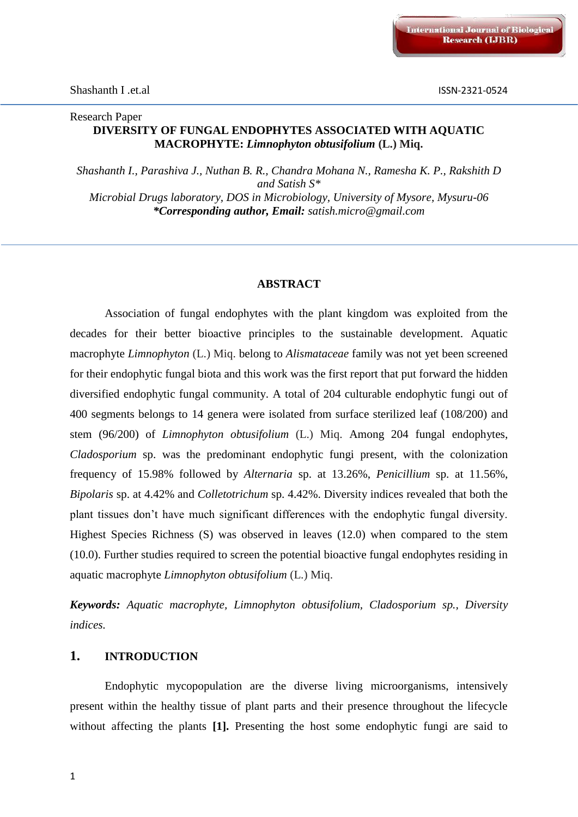### Research Paper **DIVERSITY OF FUNGAL ENDOPHYTES ASSOCIATED WITH AQUATIC MACROPHYTE:** *Limnophyton obtusifolium* **(L.) Miq.**

*Shashanth I., Parashiva J., Nuthan B. R., Chandra Mohana N., Ramesha K. P., Rakshith D and Satish S\* Microbial Drugs laboratory, DOS in Microbiology, University of Mysore, Mysuru-06 \*Corresponding author, Email: satish.micro@gmail.com*

#### **ABSTRACT**

Association of fungal endophytes with the plant kingdom was exploited from the decades for their better bioactive principles to the sustainable development. Aquatic macrophyte *Limnophyton* (L.) Miq. belong to *Alismataceae* family was not yet been screened for their endophytic fungal biota and this work was the first report that put forward the hidden diversified endophytic fungal community. A total of 204 culturable endophytic fungi out of 400 segments belongs to 14 genera were isolated from surface sterilized leaf (108/200) and stem (96/200) of *Limnophyton obtusifolium* (L.) Miq. Among 204 fungal endophytes, *Cladosporium* sp. was the predominant endophytic fungi present, with the colonization frequency of 15.98% followed by *Alternaria* sp. at 13.26%, *Penicillium* sp. at 11.56%, *Bipolaris* sp. at 4.42% and *Colletotrichum* sp. 4.42%. Diversity indices revealed that both the plant tissues don't have much significant differences with the endophytic fungal diversity. Highest Species Richness (S) was observed in leaves (12.0) when compared to the stem (10.0). Further studies required to screen the potential bioactive fungal endophytes residing in aquatic macrophyte *Limnophyton obtusifolium* (L.) Miq.

*Keywords: Aquatic macrophyte, Limnophyton obtusifolium, Cladosporium sp., Diversity indices.*

### **1. INTRODUCTION**

Endophytic mycopopulation are the diverse living microorganisms, intensively present within the healthy tissue of plant parts and their presence throughout the lifecycle without affecting the plants **[1].** Presenting the host some endophytic fungi are said to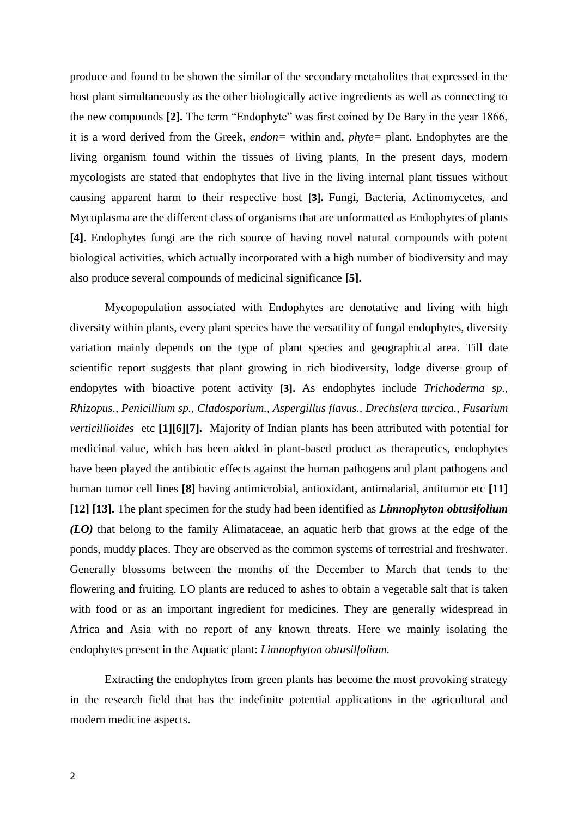produce and found to be shown the similar of the secondary metabolites that expressed in the host plant simultaneously as the other biologically active ingredients as well as connecting to the new compounds **[2].** The term "Endophyte" was first coined by De Bary in the year 1866, it is a word derived from the Greek, *endon=* within and, *phyte=* plant. Endophytes are the living organism found within the tissues of living plants, In the present days, modern mycologists are stated that endophytes that live in the living internal plant tissues without causing apparent harm to their respective host **[3].** Fungi, Bacteria, Actinomycetes, and Mycoplasma are the different class of organisms that are unformatted as Endophytes of plants **[4].** Endophytes fungi are the rich source of having novel natural compounds with potent biological activities, which actually incorporated with a high number of biodiversity and may also produce several compounds of medicinal significance **[5].**

Mycopopulation associated with Endophytes are denotative and living with high diversity within plants, every plant species have the versatility of fungal endophytes, diversity variation mainly depends on the type of plant species and geographical area. Till date scientific report suggests that plant growing in rich biodiversity, lodge diverse group of endopytes with bioactive potent activity **[3].** As endophytes include *Trichoderma sp., Rhizopus., Penicillium sp., Cladosporium., Aspergillus flavus., Drechslera turcica., Fusarium verticillioides* etc **[1][6][7].**Majority of Indian plants has been attributed with potential for medicinal value, which has been aided in plant-based product as therapeutics, endophytes have been played the antibiotic effects against the human pathogens and plant pathogens and human tumor cell lines **[8]** having antimicrobial, antioxidant, antimalarial, antitumor etc **[11] [12] [13].** The plant specimen for the study had been identified as *Limnophyton obtusifolium (LO)* that belong to the family Alimataceae, an aquatic herb that grows at the edge of the ponds, muddy places. They are observed as the common systems of terrestrial and freshwater. Generally blossoms between the months of the December to March that tends to the flowering and fruiting. LO plants are reduced to ashes to obtain a vegetable salt that is taken with food or as an important ingredient for medicines. They are generally widespread in Africa and Asia with no report of any known threats. Here we mainly isolating the endophytes present in the Aquatic plant: *Limnophyton obtusilfolium*.

Extracting the endophytes from green plants has become the most provoking strategy in the research field that has the indefinite potential applications in the agricultural and modern medicine aspects.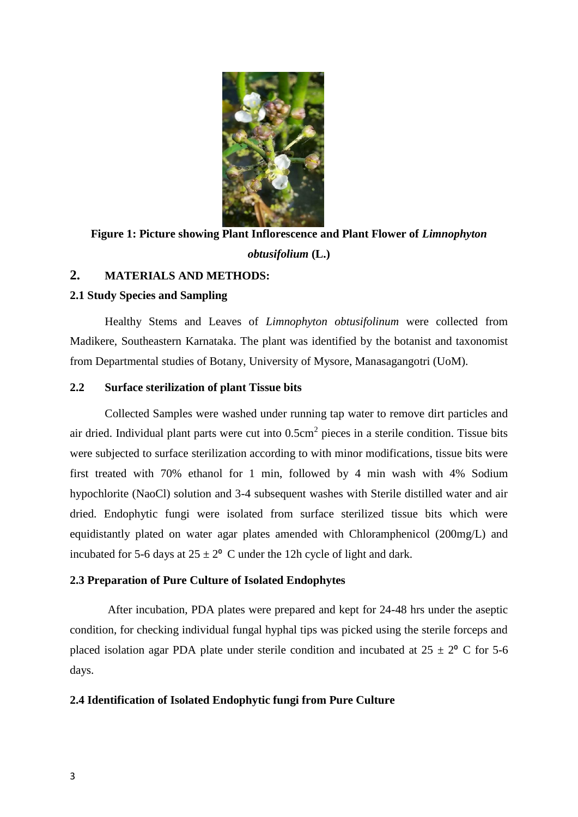

**Figure 1: Picture showing Plant Inflorescence and Plant Flower of** *Limnophyton obtusifolium* **(L.)**

# **2. MATERIALS AND METHODS:**

### **2.1 Study Species and Sampling**

Healthy Stems and Leaves of *Limnophyton obtusifolinum* were collected from Madikere, Southeastern Karnataka. The plant was identified by the botanist and taxonomist from Departmental studies of Botany, University of Mysore, Manasagangotri (UoM).

#### **2.2 Surface sterilization of plant Tissue bits**

Collected Samples were washed under running tap water to remove dirt particles and air dried. Individual plant parts were cut into  $0.5 \text{cm}^2$  pieces in a sterile condition. Tissue bits were subjected to surface sterilization according to with minor modifications, tissue bits were first treated with 70% ethanol for 1 min, followed by 4 min wash with 4% Sodium hypochlorite (NaoCl) solution and 3-4 subsequent washes with Sterile distilled water and air dried. Endophytic fungi were isolated from surface sterilized tissue bits which were equidistantly plated on water agar plates amended with Chloramphenicol (200mg/L) and incubated for 5-6 days at  $25 \pm 2^{\circ}$  C under the 12h cycle of light and dark.

#### **2.3 Preparation of Pure Culture of Isolated Endophytes**

After incubation, PDA plates were prepared and kept for 24-48 hrs under the aseptic condition, for checking individual fungal hyphal tips was picked using the sterile forceps and placed isolation agar PDA plate under sterile condition and incubated at  $25 \pm 2^{\circ}$  C for 5-6 days.

#### **2.4 Identification of Isolated Endophytic fungi from Pure Culture**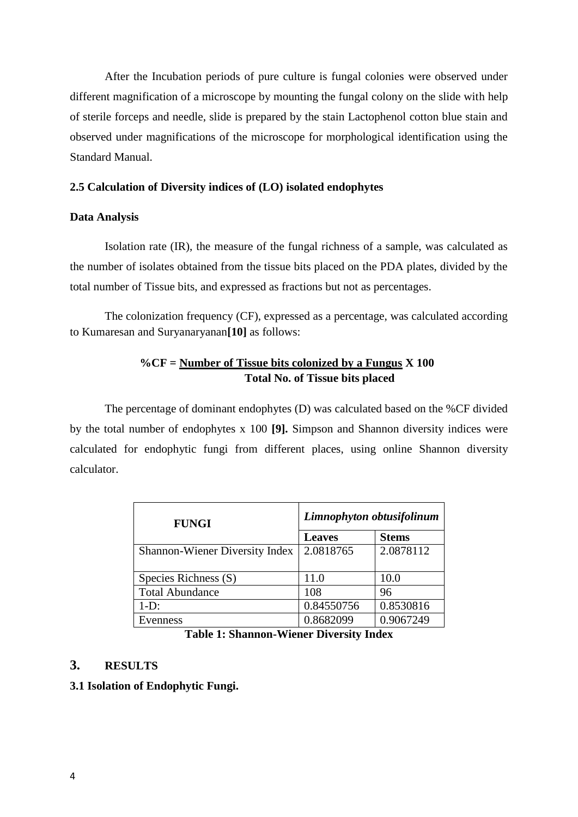After the Incubation periods of pure culture is fungal colonies were observed under different magnification of a microscope by mounting the fungal colony on the slide with help of sterile forceps and needle, slide is prepared by the stain Lactophenol cotton blue stain and observed under magnifications of the microscope for morphological identification using the Standard Manual.

### **2.5 Calculation of Diversity indices of (LO) isolated endophytes**

#### **Data Analysis**

Isolation rate (IR), the measure of the fungal richness of a sample, was calculated as the number of isolates obtained from the tissue bits placed on the PDA plates, divided by the total number of Tissue bits, and expressed as fractions but not as percentages.

The colonization frequency (CF), expressed as a percentage, was calculated according to Kumaresan and Suryanaryanan**[10]** as follows:

## **%CF = Number of Tissue bits colonized by a Fungus X 100 Total No. of Tissue bits placed**

The percentage of dominant endophytes (D) was calculated based on the %CF divided by the total number of endophytes x 100 **[9].** Simpson and Shannon diversity indices were calculated for endophytic fungi from different places, using online Shannon diversity calculator.

| <b>FUNGI</b>                   | Limnophyton obtusifolinum |              |  |
|--------------------------------|---------------------------|--------------|--|
|                                | <b>Leaves</b>             | <b>Stems</b> |  |
| Shannon-Wiener Diversity Index | 2.0818765                 | 2.0878112    |  |
| Species Richness (S)           | 11.0                      | 10.0         |  |
| <b>Total Abundance</b>         | 108                       | 96           |  |
| $1-D$ :                        | 0.84550756                | 0.8530816    |  |
| Evenness                       | 0.8682099                 | 0.9067249    |  |

#### **Table 1: Shannon-Wiener Diversity Index**

## **3. RESULTS**

### **3.1 Isolation of Endophytic Fungi.**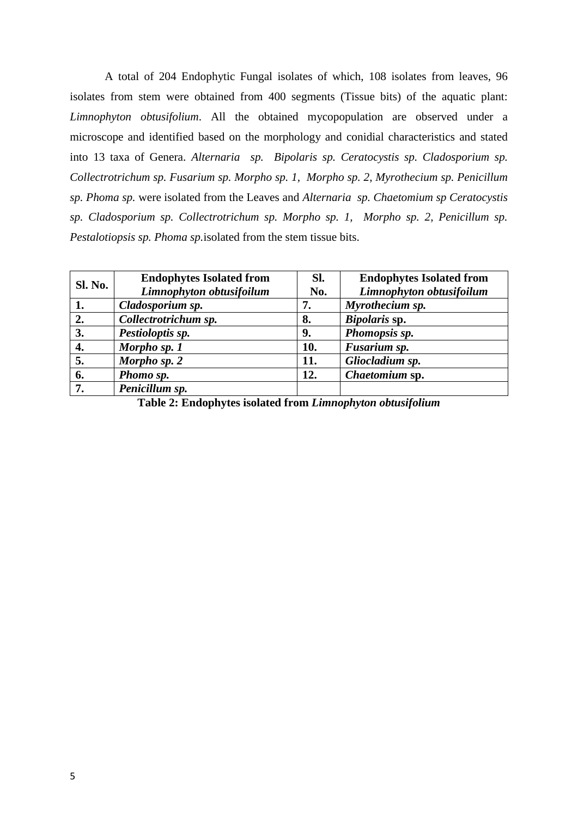A total of 204 Endophytic Fungal isolates of which, 108 isolates from leaves, 96 isolates from stem were obtained from 400 segments (Tissue bits) of the aquatic plant: *Limnophyton obtusifolium*. All the obtained mycopopulation are observed under a microscope and identified based on the morphology and conidial characteristics and stated into 13 taxa of Genera. *Alternaria sp. Bipolaris sp. Ceratocystis sp. Cladosporium sp. Collectrotrichum sp. Fusarium sp. Morpho sp. 1, Morpho sp. 2, Myrothecium sp. Penicillum sp. Phoma sp.* were isolated from the Leaves and *Alternaria sp. Chaetomium sp Ceratocystis sp. Cladosporium sp. Collectrotrichum sp. Morpho sp. 1, Morpho sp. 2, Penicillum sp. Pestalotiopsis sp. Phoma sp.*isolated from the stem tissue bits.

| <b>Sl. No.</b>   | <b>Endophytes Isolated from</b> | Sl. | <b>Endophytes Isolated from</b> |
|------------------|---------------------------------|-----|---------------------------------|
|                  | Limnophyton obtusifoilum        | No. | Limnophyton obtusifoilum        |
| 1.               | Cladosporium sp.                | 7.  | Myrothecium sp.                 |
| $\overline{2}$ . | Collectrotrichum sp.            | 8.  | Bipolaris sp.                   |
| 3.               | Pestioloptis sp.                | 9.  | Phomopsis sp.                   |
| 4.               | Morpho sp. 1                    | 10. | Fusarium sp.                    |
| 5.               | Morpho sp. 2                    | 11. | Gliocladium sp.                 |
| 6.               | Phomo sp.                       | 12. | Chaetomium sp.                  |
| 7.               | Penicillum sp.                  |     |                                 |

**Table 2: Endophytes isolated from** *Limnophyton obtusifolium*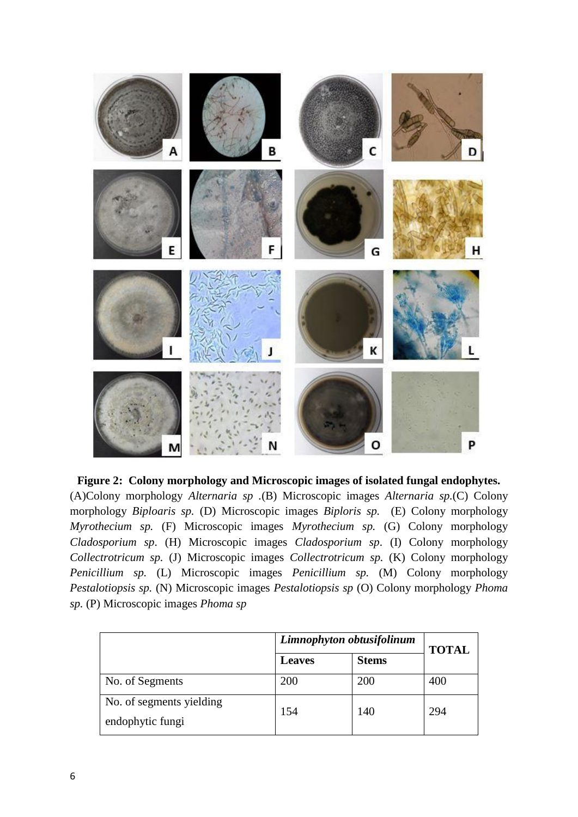

**Figure 2: Colony morphology and Microscopic images of isolated fungal endophytes.**

(A)Colony morphology *Alternaria sp .*(B) Microscopic images *Alternaria sp.*(C) Colony morphology *Biploaris sp.* (D) Microscopic images *Biploris sp.* (E) Colony morphology *Myrothecium sp.* (F) Microscopic images *Myrothecium sp.* (G) Colony morphology *Cladosporium sp*. (H) Microscopic images *Cladosporium sp*. (I) Colony morphology *Collectrotricum sp.* (J) Microscopic images *Collectrotricum sp.* (K) Colony morphology *Penicillium sp.* (L) Microscopic images *Penicillium sp.* (M) Colony morphology *Pestalotiopsis sp.* (N) Microscopic images *Pestalotiopsis sp* (O) Colony morphology *Phoma sp.* (P) Microscopic images *Phoma sp*

|                                              | Limnophyton obtusifolinum |              | <b>TOTAL</b> |
|----------------------------------------------|---------------------------|--------------|--------------|
|                                              | <b>Leaves</b>             | <b>Stems</b> |              |
| No. of Segments                              | 200                       | 200          | 400          |
| No. of segments yielding<br>endophytic fungi | 154                       | 140          | 294          |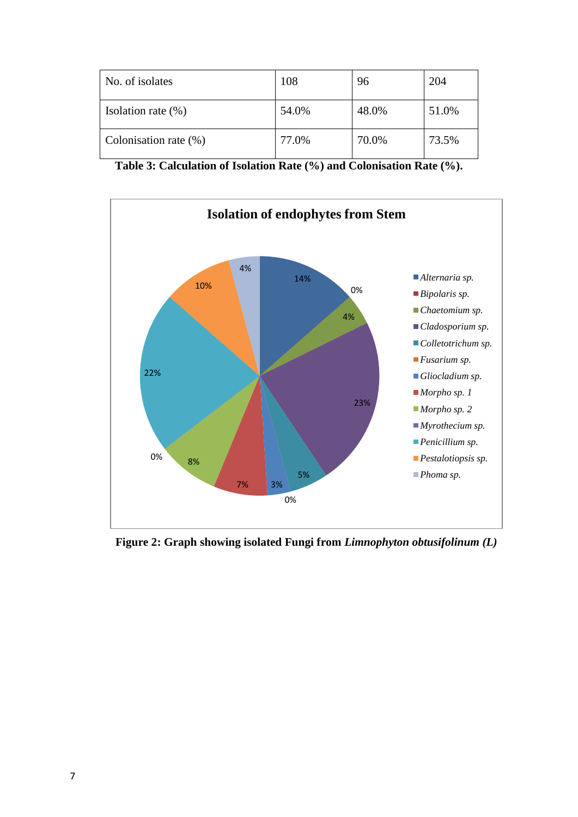| No. of isolates          | 108   | 96    | 204   |
|--------------------------|-------|-------|-------|
| Isolation rate $(\%)$    | 54.0% | 48.0% | 51.0% |
| Colonisation rate $(\%)$ | 77.0% | 70.0% | 73.5% |

**Table 3: Calculation of Isolation Rate (%) and Colonisation Rate (%).**



**Figure 2: Graph showing isolated Fungi from** *Limnophyton obtusifolinum (L)*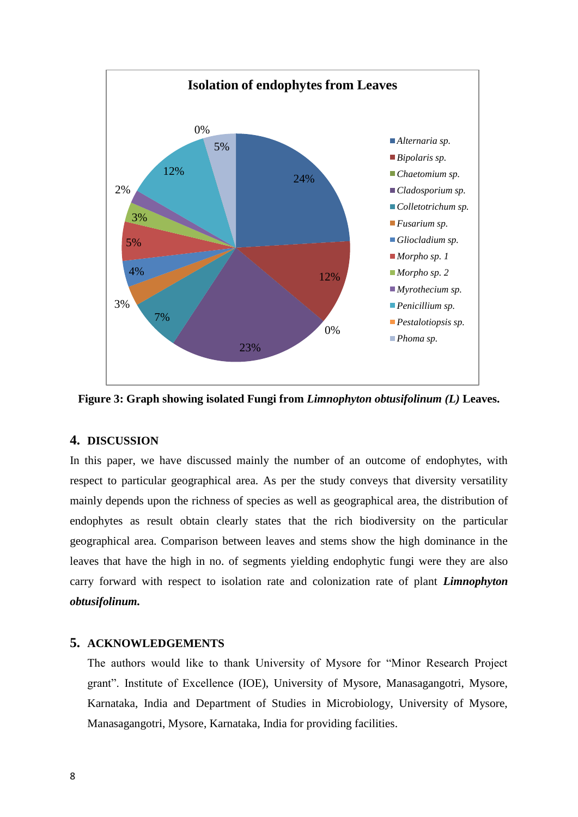

**Figure 3: Graph showing isolated Fungi from** *Limnophyton obtusifolinum (L)* **Leaves.**

## **4. DISCUSSION**

In this paper, we have discussed mainly the number of an outcome of endophytes, with respect to particular geographical area. As per the study conveys that diversity versatility mainly depends upon the richness of species as well as geographical area, the distribution of endophytes as result obtain clearly states that the rich biodiversity on the particular geographical area. Comparison between leaves and stems show the high dominance in the leaves that have the high in no. of segments yielding endophytic fungi were they are also carry forward with respect to isolation rate and colonization rate of plant *Limnophyton obtusifolinum.*

## **5. ACKNOWLEDGEMENTS**

The authors would like to thank University of Mysore for "Minor Research Project grant". Institute of Excellence (IOE), University of Mysore, Manasagangotri, Mysore, Karnataka, India and Department of Studies in Microbiology, University of Mysore, Manasagangotri, Mysore, Karnataka, India for providing facilities.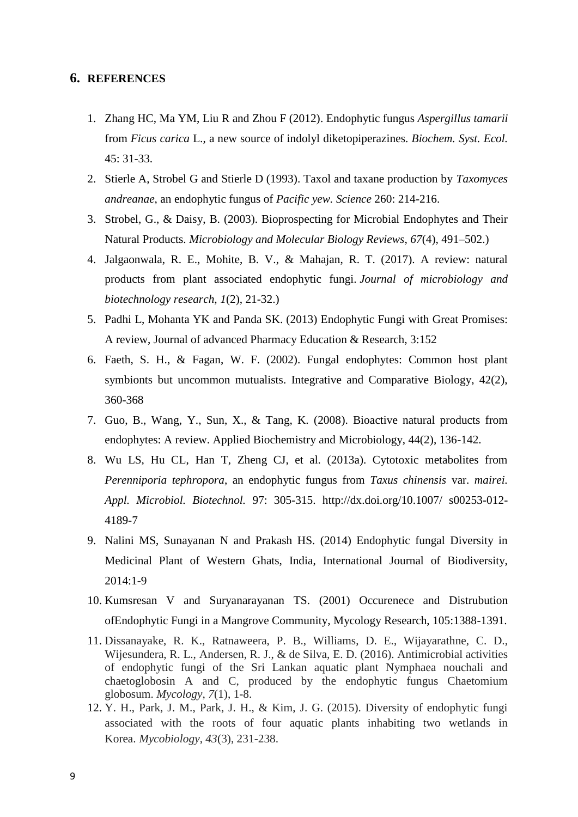#### **6. REFERENCES**

- 1. Zhang HC, Ma YM, Liu R and Zhou F (2012). Endophytic fungus *Aspergillus tamarii*  from *Ficus carica* L., a new source of indolyl diketopiperazines. *Biochem. Syst. Ecol.*  45: 31-33.
- 2. Stierle A, Strobel G and Stierle D (1993). Taxol and taxane production by *Taxomyces andreanae*, an endophytic fungus of *Pacific yew. Science* 260: 214-216.
- 3. Strobel, G., & Daisy, B. (2003). Bioprospecting for Microbial Endophytes and Their Natural Products. *Microbiology and Molecular Biology Reviews*, *67*(4), 491–502.)
- 4. Jalgaonwala, R. E., Mohite, B. V., & Mahajan, R. T. (2017). A review: natural products from plant associated endophytic fungi. *Journal of microbiology and biotechnology research*, *1*(2), 21-32.)
- 5. Padhi L, Mohanta YK and Panda SK. (2013) Endophytic Fungi with Great Promises: A review, Journal of advanced Pharmacy Education & Research, 3:152
- 6. Faeth, S. H., & Fagan, W. F. (2002). Fungal endophytes: Common host plant symbionts but uncommon mutualists. Integrative and Comparative Biology, 42(2), 360-368
- 7. Guo, B., Wang, Y., Sun, X., & Tang, K. (2008). Bioactive natural products from endophytes: A review. Applied Biochemistry and Microbiology, 44(2), 136-142.
- 8. Wu LS, Hu CL, Han T, Zheng CJ, et al. (2013a). Cytotoxic metabolites from *Perenniporia tephropora*, an endophytic fungus from *Taxus chinensis* var. *mairei. Appl. Microbiol. Biotechnol.* 97: 305-315. http://dx.doi.org/10.1007/ s00253-012- 4189-7
- 9. Nalini MS, Sunayanan N and Prakash HS. (2014) Endophytic fungal Diversity in Medicinal Plant of Western Ghats, India, International Journal of Biodiversity,  $2014.1 - 9$
- 10. Kumsresan V and Suryanarayanan TS. (2001) Occurenece and Distrubution ofEndophytic Fungi in a Mangrove Community, Mycology Research, 105:1388-1391.
- 11. Dissanayake, R. K., Ratnaweera, P. B., Williams, D. E., Wijayarathne, C. D., Wijesundera, R. L., Andersen, R. J., & de Silva, E. D. (2016). Antimicrobial activities of endophytic fungi of the Sri Lankan aquatic plant Nymphaea nouchali and chaetoglobosin A and C, produced by the endophytic fungus Chaetomium globosum. *Mycology*, *7*(1), 1-8.
- 12. Y. H., Park, J. M., Park, J. H., & Kim, J. G. (2015). Diversity of endophytic fungi associated with the roots of four aquatic plants inhabiting two wetlands in Korea. *Mycobiology*, *43*(3), 231-238.